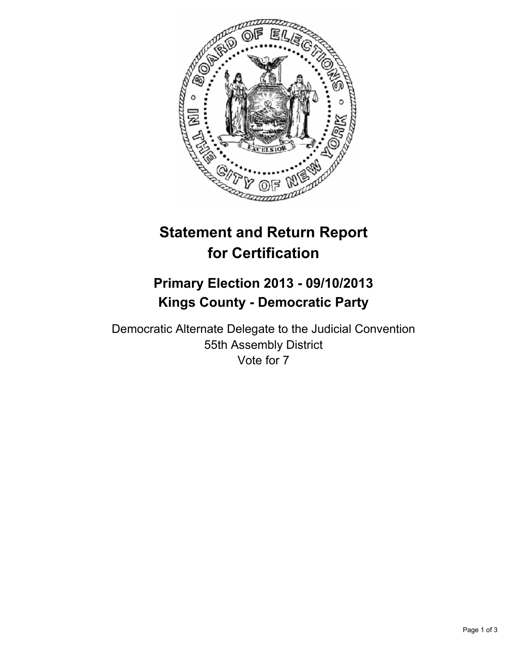

# **Statement and Return Report for Certification**

# **Primary Election 2013 - 09/10/2013 Kings County - Democratic Party**

Democratic Alternate Delegate to the Judicial Convention 55th Assembly District Vote for 7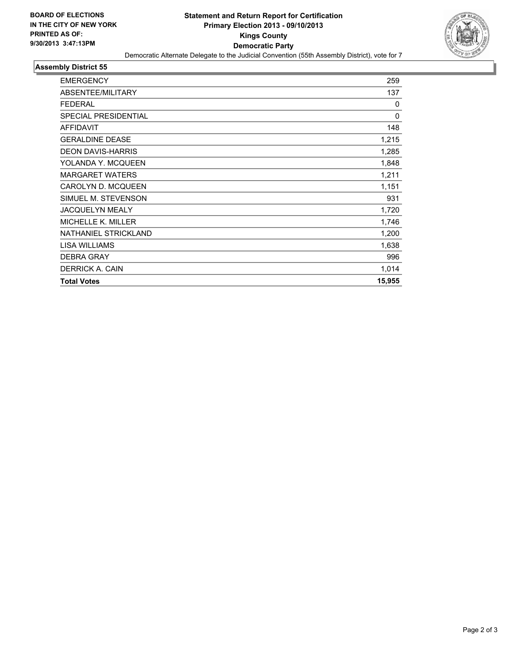

#### **Assembly District 55**

| <b>EMERGENCY</b>          | 259          |
|---------------------------|--------------|
| ABSENTEE/MILITARY         | 137          |
| <b>FEDERAL</b>            | 0            |
| SPECIAL PRESIDENTIAL      | $\mathbf{0}$ |
| <b>AFFIDAVIT</b>          | 148          |
| <b>GERALDINE DEASE</b>    | 1,215        |
| <b>DEON DAVIS-HARRIS</b>  | 1,285        |
| YOLANDA Y. MCQUEEN        | 1,848        |
| <b>MARGARET WATERS</b>    | 1,211        |
| <b>CAROLYN D. MCQUEEN</b> | 1,151        |
| SIMUEL M. STEVENSON       | 931          |
| <b>JACQUELYN MEALY</b>    | 1,720        |
| <b>MICHELLE K. MILLER</b> | 1,746        |
| NATHANIEL STRICKLAND      | 1,200        |
| <b>LISA WILLIAMS</b>      | 1,638        |
| <b>DEBRA GRAY</b>         | 996          |
| DERRICK A. CAIN           | 1,014        |
| <b>Total Votes</b>        | 15,955       |